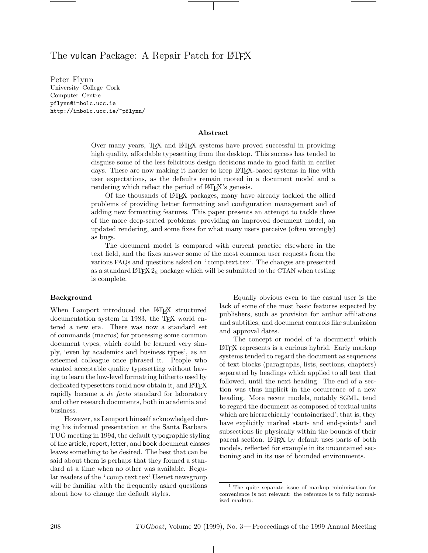# The vulcan Package: A Repair Patch for LATEX

University College Cork Computer Centre pflynn@imbolc.ucc.ie http://imbolc.ucc.ie/~pflynn/

#### **Abstract**

Over many years, TEX and LATEX systems have proved successful in providing high quality, affordable typesetting from the desktop. This success has tended to disguise some of the less felicitous design decisions made in good faith in earlier days. These are now making it harder to keep L<sup>A</sup>T<sub>F</sub>X-based systems in line with user expectations, as the defaults remain rooted in a document model and a rendering which reflect the period of LATEX's genesis.

Of the thousands of LATEX packages, many have already tackled the allied problems of providing better formatting and configuration management and of adding new formatting features. This paper presents an attempt to tackle three of the more deep-seated problems: providing an improved document model, an updated rendering, and some fixes for what many users perceive (often wrongly) as bugs.

The document model is compared with current practice elsewhere in the text field, and the fixes answer some of the most common user requests from the various FAQs and questions asked on 'comp.text.tex'. The changes are presented as a standard LATEX  $2\varepsilon$  package which will be submitted to the CTAN when testing is complete.

#### **Background**

When Lamport introduced the LAT<sub>EX</sub> structured documentation system in 1983, the TEX world entered a new era. There was now a standard set of commands (macros) for processing some common document types, which could be learned very simply, 'even by academics and business types', as an esteemed colleague once phrased it. People who wanted acceptable quality typesetting without having to learn the low-level formatting hitherto used by dedicated typesetters could now obtain it, and LAT<sub>EX</sub> rapidly became a *de facto* standard for laboratory and other research documents, both in academia and business.

However, as Lamport himself acknowledged during his informal presentation at the Santa Barbara TUG meeting in 1994, the default typographic styling of the article, report, letter, and book document classes leaves something to be desired. The best that can be said about them is perhaps that they formed a standard at a time when no other was available. Regular readers of the 'comp.text.tex' Usenet newsgroup will be familiar with the frequently asked questions about how to change the default styles.

Equally obvious even to the casual user is the lack of some of the most basic features expected by publishers, such as provision for author affiliations and subtitles, and document controls like submission and approval dates.

The concept or model of 'a document' which LATEX represents is a curious hybrid. Early markup systems tended to regard the document as sequences of text blocks (paragraphs, lists, sections, chapters) separated by headings which applied to all text that followed, until the next heading. The end of a section was thus implicit in the occurrence of a new heading. More recent models, notably SGML, tend to regard the document as composed of textual units which are hierarchically 'containerized'; that is, they have explicitly marked start- and end-points<sup>1</sup> and subsections lie physically within the bounds of their parent section. LATEX by default uses parts of both models, reflected for example in its uncontained sectioning and in its use of bounded environments.

<sup>1</sup> The quite separate issue of markup minimization for convenience is not relevant: the reference is to fully normalized markup.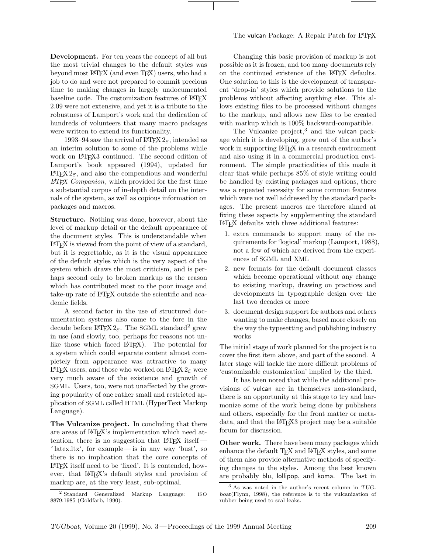**Development.** For ten years the concept of all but the most trivial changes to the default styles was beyond most LAT<sub>EX</sub> (and even T<sub>EX</sub>) users, who had a job to do and were not prepared to commit precious time to making changes in largely undocumented baseline code. The customization features of PATEX 2.09 were not extensive, and yet it is a tribute to the robustness of Lamport's work and the dedication of hundreds of volunteers that many macro packages were written to extend its functionality.

1993–94 saw the arrival of  $\angle$ FFX  $2_{\epsilon}$ , intended as an interim solution to some of the problems while work on L<sup>A</sup>T<sub>E</sub>X<sub>3</sub> continued. The second edition of Lamport's book appeared (1994), updated for LAT<sub>E</sub>X 2<sub>ε</sub>, and also the compendious and wonderful *L*A*TEX Companion*, which provided for the first time a substantial corpus of in-depth detail on the internals of the system, as well as copious information on packages and macros.

**Structure.** Nothing was done, however, about the level of markup detail or the default appearance of the document styles. This is understandable when LATEX is viewed from the point of view of a standard, but it is regrettable, as it is the visual appearance of the default styles which is the very aspect of the system which draws the most criticism, and is perhaps second only to broken markup as the reason which has contributed most to the poor image and take-up rate of LATEX outside the scientific and academic fields.

A second factor in the use of structured documentation systems also came to the fore in the decade before  $\angle MFX2_{\epsilon}$ . The SGML standard<sup>2</sup> grew in use (and slowly, too, perhaps for reasons not unlike those which faced LAT<sub>EX</sub>). The potential for a system which could separate content almost completely from appearance was attractive to many LATEX users, and those who worked on LATEX  $2\varepsilon$  were very much aware of the existence and growth of SGML. Users, too, were not unaffected by the growing popularity of one rather small and restricted application of SGML called HTML (HyperText Markup Language).

**The Vulcanize project.** In concluding that there are areas of LAT<sub>EX</sub>'s implementation which need attention, there is no suggestion that LATEX itself— 'latex.ltx', for example— is in any way 'bust', so there is no implication that the core concepts of LATEX itself need to be 'fixed'. It is contended, however, that LAT<sub>E</sub>X's default styles and provision of markup are, at the very least, sub-optimal.

Changing this basic provision of markup is not possible as it is frozen, and too many documents rely on the continued existence of the LATEX defaults. One solution to this is the development of transparent 'drop-in' styles which provide solutions to the problems without affecting anything else. This allows existing files to be processed without changes to the markup, and allows new files to be created with markup which is 100% backward-compatible.

The Vulcanize project, $3$  and the vulcan package which it is developing, grew out of the author's work in supporting LAT<sub>EX</sub> in a research environment and also using it in a commercial production environment. The simple practicalities of this made it clear that while perhaps 85% of style writing could be handled by existing packages and options, there was a repeated necessity for some common features which were not well addressed by the standard packages. The present macros are therefore aimed at fixing these aspects by supplementing the standard LATEX defaults with three additional features:

- 1. extra commands to support many of the requirements for 'logical' markup (Lamport, 1988), not a few of which are derived from the experiences of SGML and XML
- 2. new formats for the default document classes which become operational without any change to existing markup, drawing on practices and developments in typographic design over the last two decades or more
- 3. document design support for authors and others wanting to make changes, based more closely on the way the typesetting and publishing industry works

The initial stage of work planned for the project is to cover the first item above, and part of the second. A later stage will tackle the more difficult problems of 'customizable customization' implied by the third.

It has been noted that while the additional provisions of vulcan are in themselves non-standard, there is an opportunity at this stage to try and harmonize some of the work being done by publishers and others, especially for the front matter or metadata, and that the LAT<sub>E</sub>X<sub>3</sub> project may be a suitable forum for discussion.

**Other work.** There have been many packages which enhance the default TFX and LATFX styles, and some of them also provide alternative methods of specifying changes to the styles. Among the best known are probably blu, lollipop, and koma. The last in

<sup>&</sup>lt;sup>2</sup> Standard Generalized Markup Language: ISO 8879:1985 (Goldfarb, 1990).

 $3$  As was noted in the author's recent column in TUGboat(Flynn, 1998), the reference is to the vulcanization of rubber being used to seal leaks.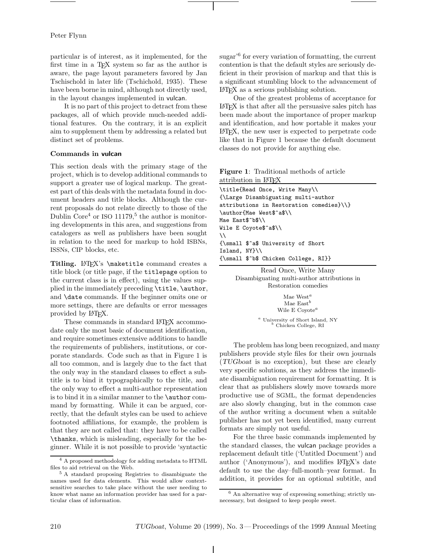### Peter Flynn

particular is of interest, as it implemented, for the first time in a TEX system so far as the author is aware, the page layout parameters favored by Jan Tschischold in later life (Tschichold, 1935). These have been borne in mind, although not directly used, in the layout changes implemented in vulcan.

It is no part of this project to detract from these packages, all of which provide much-needed additional features. On the contrary, it is an explicit aim to supplement them by addressing a related but distinct set of problems.

# **Commands in vulcan**

This section deals with the primary stage of the project, which is to develop additional commands to support a greater use of logical markup. The greatest part of this deals with the metadata found in document headers and title blocks. Although the current proposals do not relate directly to those of the Dublin Core<sup>4</sup> or ISO 11179,<sup>5</sup> the author is monitoring developments in this area, and suggestions from catalogers as well as publishers have been sought in relation to the need for markup to hold ISBNs, ISSNs, CIP blocks, etc.

Titling. LAT<sub>EX</sub>'s \maketitle command creates a title block (or title page, if the titlepage option to the current class is in effect), using the values supplied in the immediately preceding \title, \author, and \date commands. If the beginner omits one or more settings, there are defaults or error messages provided by LATEX.

These commands in standard LAT<sub>EX</sub> accommodate only the most basic of document identification, and require sometimes extensive additions to handle the requirements of publishers, institutions, or corporate standards. Code such as that in Figure 1 is all too common, and is largely due to the fact that the only way in the standard classes to effect a subtitle is to bind it typographically to the title, and the only way to effect a multi-author representation is to bind it in a similar manner to the \author command by formatting. While it can be argued, correctly, that the default styles can be used to achieve footnoted affiliations, for example, the problem is that they are not called that: they have to be called \thanks, which is misleading, especially for the beginner. While it is not possible to provide 'syntactic sugar<sup>'6</sup> for every variation of formatting, the current contention is that the default styles are seriously deficient in their provision of markup and that this is a significant stumbling block to the advancement of LATEX as a serious publishing solution.

One of the greatest problems of acceptance for LATEX is that after all the persuasive sales pitch has been made about the importance of proper markup and identification, and how portable it makes your LATEX, the new user is expected to perpetrate code like that in Figure 1 because the default document classes do not provide for anything else.

|                                   | <b>Figure 1:</b> Traditional methods of article |  |
|-----------------------------------|-------------------------------------------------|--|
| attribution in LAT <sub>F</sub> X |                                                 |  |

\title{Read Once, Write Many\\ {\Large Disambiguating multi-author attributions in Restoration comedies}\\} \author{Mae West\$^a\$\\ Mae East\$^b\$\\ Wile E Coyote\$^a\$\\  $\setminus$ {\small \$^a\$ University of Short Island, NY}\\ {\small \$^b\$ Chicken College, RI}}

> Read Once, Write Many Disambiguating multi-author attributions in Restoration comedies

> > Mae West $^a$ Mae East $<sup>b</sup>$ </sup> Wile E Coyote<sup>a</sup>

 $\footnotesize{^{a}}$ University of Short Island, NY  $\footnotesize{^{b}}$  Chicken College, RI

The problem has long been recognized, and many publishers provide style files for their own journals (TUGboat is no exception), but these are clearly very specific solutions, as they address the immediate disambiguation requirement for formatting. It is clear that as publishers slowly move towards more productive use of SGML, the format dependencies are also slowly changing, but in the common case of the author writing a document when a suitable publisher has not yet been identified, many current formats are simply not useful.

For the three basic commands implemented by the standard classes, the vulcan package provides a replacement default title ('Untitled Document') and author ('Anonymous'), and modifies LAT<sub>EX</sub>'s date default to use the day–full-month–year format. In addition, it provides for an optional subtitle, and

<sup>&</sup>lt;sup>4</sup> A proposed methodology for adding metadata to HTML files to aid retrieval on the Web.

<sup>5</sup> A standard proposing Registries to disambiguate the names used for data elements. This would allow contextsensitive searches to take place without the user needing to know what name an information provider has used for a particular class of information.

<sup>6</sup> An alternative way of expressing something; strictly unnecessary, but designed to keep people sweet.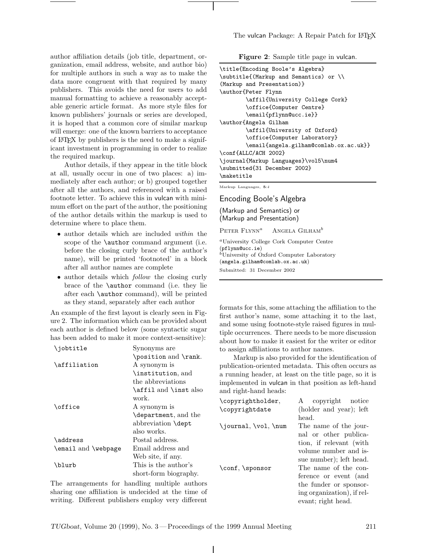author affiliation details (job title, department, organization, email address, website, and author bio) for multiple authors in such a way as to make the data more congruent with that required by many publishers. This avoids the need for users to add manual formatting to achieve a reasonably acceptable generic article format. As more style files for known publishers' journals or series are developed, it is hoped that a common core of similar markup will emerge: one of the known barriers to acceptance of LATEX by publishers is the need to make a significant investment in programming in order to realize the required markup.

Author details, if they appear in the title block at all, usually occur in one of two places: a) immediately after each author; or b) grouped together after all the authors, and referenced with a raised footnote letter. To achieve this in vulcan with minimum effort on the part of the author, the positioning of the author details within the markup is used to determine where to place them.

- author details which are included *within* the scope of the **\author** command argument (i.e. before the closing curly brace of the author's name), will be printed 'footnoted' in a block after all author names are complete
- author details which *follow* the closing curly brace of the \author command (i.e. they lie after each \author command), will be printed as they stand, separately after each author

An example of the first layout is clearly seen in Figure 2. The information which can be provided about each author is defined below (some syntactic sugar has been added to make it more context-sensitive):

| \jobtitle           | Synonyms are          |
|---------------------|-----------------------|
|                     | \position and \rank.  |
| \affiliation        | A synonym is          |
|                     | \institution, and     |
|                     | the abbreviations     |
|                     | \affil and \inst also |
|                     | work.                 |
| \office             | A synonym is          |
|                     | \department, and the  |
|                     | abbreviation \dept    |
|                     | also works.           |
| \address            | Postal address.       |
| \email and \webpage | Email address and     |
|                     | Web site, if any.     |
| \blurb              | This is the author's  |
|                     | short-form biography. |

The arrangements for handling multiple authors sharing one affiliation is undecided at the time of writing. Different publishers employ very different

|  | Figure 2: Sample title page in vulcan. |  |  |  |  |  |  |
|--|----------------------------------------|--|--|--|--|--|--|
|--|----------------------------------------|--|--|--|--|--|--|

| \title{Encoding Boole's Algebra}<br>\subtitle{(Markup and Semantics) or \\<br>(Markup and Presentation) }<br>\author{Peter Flynn<br>\affil{University College Cork} |
|---------------------------------------------------------------------------------------------------------------------------------------------------------------------|
| \office{Computer Centre}                                                                                                                                            |
| \email{pflynn@ucc.ie}}                                                                                                                                              |
| \author{Angela Gilham                                                                                                                                               |
| \affil{University of Oxford}                                                                                                                                        |
| \office{Computer Laboratory}                                                                                                                                        |
| \email{angela.gilham@comlab.ox.ac.uk}}                                                                                                                              |
| \conf{ALLC/ACH 2002}                                                                                                                                                |
| \journal{Markup Languages}\vol5\num4                                                                                                                                |
| \submitted{31 December 2002}                                                                                                                                        |
| \maketitle                                                                                                                                                          |
| Markup Languages, 5:4                                                                                                                                               |

Encoding Boole's Algebra

(Markup and Semantics) or (Markup and Presentation)

PETER  $FLYNN^a$  Angela Gilham<sup>b</sup>

<sup>a</sup>University College Cork Computer Centre (pflynn@ucc.ie)<br><sup>b</sup>University of Oxford Computer Laboratory (angela.gilham@comlab.ox.ac.uk) Submitted: 31 December 2002

formats for this, some attaching the affiliation to the first author's name, some attaching it to the last, and some using footnote-style raised figures in multiple occurrences. There needs to be more discussion about how to make it easiest for the writer or editor to assign affiliations to author names.

Markup is also provided for the identification of publication-oriented metadata. This often occurs as a running header, at least on the title page, so it is implemented in vulcan in that position as left-hand and right-hand heads:

| \copyrightholder,         | copyright notice<br>A      |
|---------------------------|----------------------------|
| \copyrightdate            | (holder and year); left    |
|                           | head.                      |
| $\{journal, \vol, \num\}$ | The name of the jour-      |
|                           | nal or other publica-      |
|                           | tion, if relevant (with    |
|                           | volume number and is-      |
|                           | sue number); left head.    |
| \conf, \sponsor           | The name of the con-       |
|                           | ference or event (and      |
|                           | the funder or sponsor-     |
|                           | ing organization), if rel- |
|                           | evant; right head.         |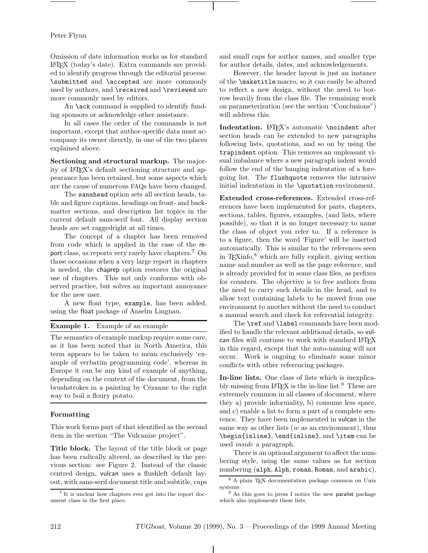# Peter Flynn

Omission of date information works as for standard LATEX (today's date). Extra commands are provided to identify progress through the editorial process: \submitted and \accepted are more commonly used by authors, and \received and \reviewed are more commonly used by editors.

An **\ack** command is supplied to identify funding sponsors or acknowledge other assistance.

In all cases the order of the commands is not important, except that author-specific data must accompany its owner directly, in one of the two places explained above.

**Sectioning and structural markup.** The majority of LATEX's default sectioning structure and appearance has been retained, but some aspects which are the cause of numerous FAQs have been changed.

The sanshead option sets all section heads, table and figure captions, headings on front- and backmatter sections, and description list topics in the current default sans-serif font. All display section heads are set raggedright at all times.

The concept of a chapter has been removed from code which is applied in the case of the report class, as reports very rarely have chapters.<sup>7</sup> On those occasions when a very large report in chapters is needed, the chaprep option restores the original use of chapters. This not only conforms with observed practice, but solves an important annoyance for the new user.

A new float type, example, has been added, using the float package of Anselm Lingnau.

# **Example 1.** Example of an example

The semantics of example markup require some care, as it has been noted that in North America, this term appears to be taken to mean exclusively 'example of verbatim programming code', whereas in Europe it can be any kind of example of anything, depending on the context of the document, from the brushstrokes in a painting by Cézanne to the right way to boil a floury potato.

#### **Formatting**

This work forms part of that identified as the second item in the section "The Vulcanize project".

**Title block.** The layout of the title block or page has been radically altered, as described in the previous section: see Figure 2. Instead of the classic centred design, vulcan uses a flushleft default layout, with sans-serif document title and subtitle, caps and small caps for author names, and smaller type for author details, dates, and acknowledgements.

However, the header layout is just an instance of the \maketitle macro, so it can easily be altered to reflect a new design, without the need to borrow heavily from the class file. The remaining work on parameterization (see the section "Conclusions") will address this.

Indentation. L<sup>AT</sup>FX's automatic \noindent after section heads can be extended to new paragraphs following lists, quotations, and so on by using the trapindent option. This removes an unpleasant visual imbalance where a new paragraph indent would follow the end of the hanging indentation of a foregoing list. The flushquote removes the intrusive initial indentation in the \quotation environment.

**Extended cross-references.** Extended cross-references have been implemented for parts, chapters, sections, tables, figures, examples, (and lists, where possible), so that it is no longer necessary to name the class of object you refer to. If a reference is to a figure, then the word 'Figure' will be inserted automatically. This is similar to the references seen in T<sub>E</sub>Xinfo, $8$  which are fully explicit, giving section name and number as well as the page reference, and is already provided for in some class files, as prefixes for counters. The objective is to free authors from the need to carry such details in the head, and to allow text containing labels to be moved from one environment to another without the need to conduct a manual search and check for referential integrity.

The \ref and \label commands have been modified to handle the relevant additional details, so vulcan files will continue to work with standard LATEX in this regard, except that the auto-naming will not occur. Work is ongoing to eliminate some minor conflicts with other referencing packages.

**In-line lists.** One class of lists which is inexplicably missing from  $\text{BTr}X$  is the in-line list.<sup>9</sup> These are extremely common in all classes of document, where they a) provide informality, b) consume less space, and c) enable a list to form a part of a complete sentence. They have been implemented in vulcan in the same way as other lists (*ie* as an environment), thus \begin{inline}, \end{inline}, and \item can be used *inside* a paragraph.

There is an optional argument to affect the numbering style, using the same values as for section numbering (alph, Alph, roman, Roman, and arabic),

<sup>7</sup> It is unclear how chapters ever got into the report document class in the first place.

<sup>8</sup> A plain TEX documentation package common on Unix systems

<sup>9</sup> As this goes to press I notice the new paralist package which also implements these lists.